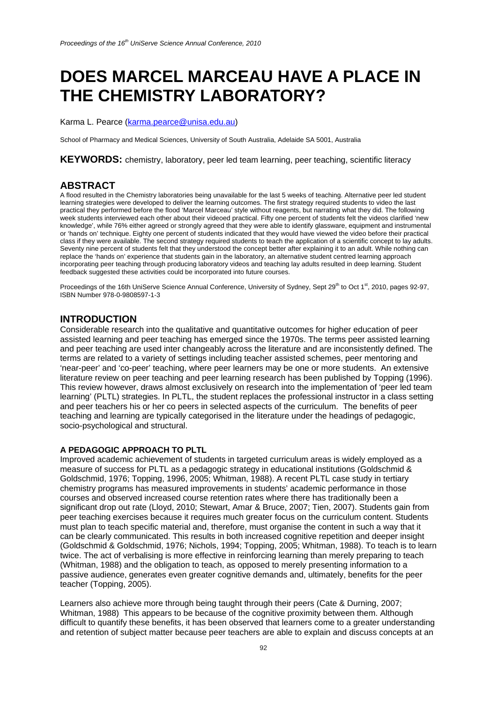# **DOES MARCEL MARCEAU HAVE A PLACE IN THE CHEMISTRY LABORATORY?**

Karma L. Pearce (karma.pearce@unisa.edu.au)

School of Pharmacy and Medical Sciences, University of South Australia, Adelaide SA 5001, Australia

**KEYWORDS:** chemistry, laboratory, peer led team learning, peer teaching, scientific literacy

# **ABSTRACT**

A flood resulted in the Chemistry laboratories being unavailable for the last 5 weeks of teaching. Alternative peer led student learning strategies were developed to deliver the learning outcomes. The first strategy required students to video the last practical they performed before the flood 'Marcel Marceau' style without reagents, but narrating what they did. The following week students interviewed each other about their videoed practical. Fifty one percent of students felt the videos clarified 'new knowledge', while 76% either agreed or strongly agreed that they were able to identify glassware, equipment and instrumental or 'hands on' technique. Eighty one percent of students indicated that they would have viewed the video before their practical class if they were available. The second strategy required students to teach the application of a scientific concept to lay adults. Seventy nine percent of students felt that they understood the concept better after explaining it to an adult. While nothing can replace the 'hands on' experience that students gain in the laboratory, an alternative student centred learning approach incorporating peer teaching through producing laboratory videos and teaching lay adults resulted in deep learning. Student feedback suggested these activities could be incorporated into future courses.

Proceedings of the 16th UniServe Science Annual Conference, University of Sydney, Sept 29<sup>th</sup> to Oct 1<sup>st</sup>, 2010, pages 92-97, ISBN Number 978-0-9808597-1-3

# **INTRODUCTION**

Considerable research into the qualitative and quantitative outcomes for higher education of peer assisted learning and peer teaching has emerged since the 1970s. The terms peer assisted learning and peer teaching are used inter changeably across the literature and are inconsistently defined. The terms are related to a variety of settings including teacher assisted schemes, peer mentoring and 'near-peer' and 'co-peer' teaching, where peer learners may be one or more students. An extensive literature review on peer teaching and peer learning research has been published by Topping (1996). This review however, draws almost exclusively on research into the implementation of 'peer led team learning' (PLTL) strategies. In PLTL, the student replaces the professional instructor in a class setting and peer teachers his or her co peers in selected aspects of the curriculum. The benefits of peer teaching and learning are typically categorised in the literature under the headings of pedagogic, socio-psychological and structural.

#### **A PEDAGOGIC APPROACH TO PLTL**

Improved academic achievement of students in targeted curriculum areas is widely employed as a measure of success for PLTL as a pedagogic strategy in educational institutions (Goldschmid & Goldschmid, 1976; Topping, 1996, 2005; Whitman, 1988). A recent PLTL case study in tertiary chemistry programs has measured improvements in students' academic performance in those courses and observed increased course retention rates where there has traditionally been a significant drop out rate (Lloyd, 2010; Stewart, Amar & Bruce, 2007; Tien, 2007). Students gain from peer teaching exercises because it requires much greater focus on the curriculum content. Students must plan to teach specific material and, therefore, must organise the content in such a way that it can be clearly communicated. This results in both increased cognitive repetition and deeper insight (Goldschmid & Goldschmid, 1976; Nichols, 1994; Topping, 2005; Whitman, 1988). To teach is to learn twice. The act of verbalising is more effective in reinforcing learning than merely preparing to teach (Whitman, 1988) and the obligation to teach, as opposed to merely presenting information to a passive audience, generates even greater cognitive demands and, ultimately, benefits for the peer teacher (Topping, 2005).

Learners also achieve more through being taught through their peers (Cate & Durning, 2007; Whitman, 1988) This appears to be because of the cognitive proximity between them. Although difficult to quantify these benefits, it has been observed that learners come to a greater understanding and retention of subject matter because peer teachers are able to explain and discuss concepts at an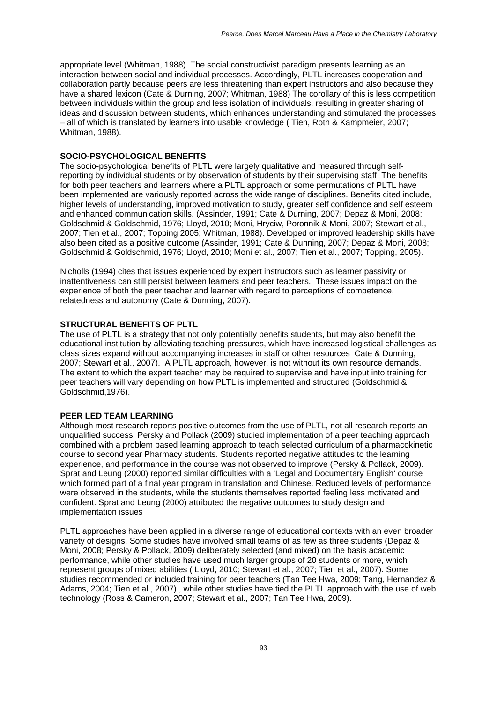appropriate level (Whitman, 1988). The social constructivist paradigm presents learning as an interaction between social and individual processes. Accordingly, PLTL increases cooperation and collaboration partly because peers are less threatening than expert instructors and also because they have a shared lexicon (Cate & Durning, 2007; Whitman, 1988) The corollary of this is less competition between individuals within the group and less isolation of individuals, resulting in greater sharing of ideas and discussion between students, which enhances understanding and stimulated the processes – all of which is translated by learners into usable knowledge ( Tien, Roth & Kampmeier, 2007; Whitman, 1988).

# **SOCIO-PSYCHOLOGICAL BENEFITS**

The socio-psychological benefits of PLTL were largely qualitative and measured through selfreporting by individual students or by observation of students by their supervising staff. The benefits for both peer teachers and learners where a PLTL approach or some permutations of PLTL have been implemented are variously reported across the wide range of disciplines. Benefits cited include, higher levels of understanding, improved motivation to study, greater self confidence and self esteem and enhanced communication skills. (Assinder, 1991; Cate & Durning, 2007; Depaz & Moni, 2008; Goldschmid & Goldschmid, 1976; Lloyd, 2010; Moni, Hryciw, Poronnik & Moni, 2007; Stewart et al., 2007; Tien et al., 2007; Topping 2005; Whitman, 1988). Developed or improved leadership skills have also been cited as a positive outcome (Assinder, 1991; Cate & Dunning, 2007; Depaz & Moni, 2008; Goldschmid & Goldschmid, 1976; Lloyd, 2010; Moni et al., 2007; Tien et al., 2007; Topping, 2005).

Nicholls (1994) cites that issues experienced by expert instructors such as learner passivity or inattentiveness can still persist between learners and peer teachers. These issues impact on the experience of both the peer teacher and learner with regard to perceptions of competence, relatedness and autonomy (Cate & Dunning, 2007).

# **STRUCTURAL BENEFITS OF PLTL**

The use of PLTL is a strategy that not only potentially benefits students, but may also benefit the educational institution by alleviating teaching pressures, which have increased logistical challenges as class sizes expand without accompanying increases in staff or other resources Cate & Dunning, 2007; Stewart et al., 2007). A PLTL approach, however, is not without its own resource demands. The extent to which the expert teacher may be required to supervise and have input into training for peer teachers will vary depending on how PLTL is implemented and structured (Goldschmid & Goldschmid,1976).

#### **PEER LED TEAM LEARNING**

Although most research reports positive outcomes from the use of PLTL, not all research reports an unqualified success. Persky and Pollack (2009) studied implementation of a peer teaching approach combined with a problem based learning approach to teach selected curriculum of a pharmacokinetic course to second year Pharmacy students. Students reported negative attitudes to the learning experience, and performance in the course was not observed to improve (Persky & Pollack, 2009). Sprat and Leung (2000) reported similar difficulties with a 'Legal and Documentary English' course which formed part of a final year program in translation and Chinese. Reduced levels of performance were observed in the students, while the students themselves reported feeling less motivated and confident. Sprat and Leung (2000) attributed the negative outcomes to study design and implementation issues

PLTL approaches have been applied in a diverse range of educational contexts with an even broader variety of designs. Some studies have involved small teams of as few as three students (Depaz & Moni, 2008; Persky & Pollack, 2009) deliberately selected (and mixed) on the basis academic performance, while other studies have used much larger groups of 20 students or more, which represent groups of mixed abilities ( Lloyd, 2010; Stewart et al., 2007; Tien et al., 2007). Some studies recommended or included training for peer teachers (Tan Tee Hwa, 2009; Tang, Hernandez & Adams, 2004; Tien et al., 2007) , while other studies have tied the PLTL approach with the use of web technology (Ross & Cameron, 2007; Stewart et al., 2007; Tan Tee Hwa, 2009).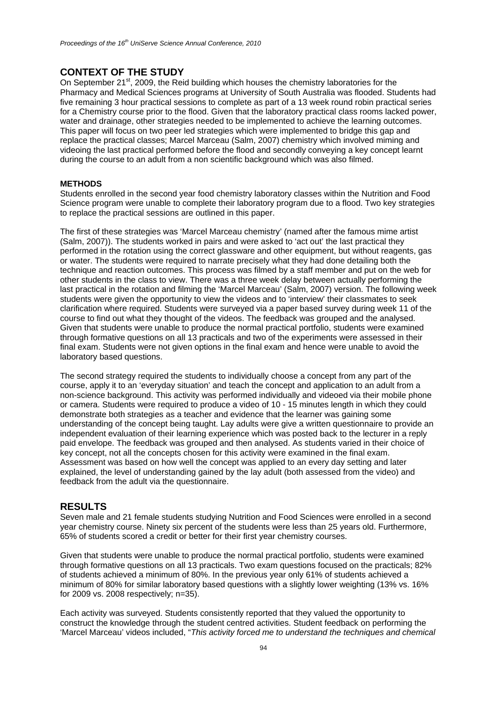# **CONTEXT OF THE STUDY**

On September 21<sup>st</sup>, 2009, the Reid building which houses the chemistry laboratories for the Pharmacy and Medical Sciences programs at University of South Australia was flooded. Students had five remaining 3 hour practical sessions to complete as part of a 13 week round robin practical series for a Chemistry course prior to the flood. Given that the laboratory practical class rooms lacked power, water and drainage, other strategies needed to be implemented to achieve the learning outcomes. This paper will focus on two peer led strategies which were implemented to bridge this gap and replace the practical classes; Marcel Marceau (Salm, 2007) chemistry which involved miming and videoing the last practical performed before the flood and secondly conveying a key concept learnt during the course to an adult from a non scientific background which was also filmed.

# **METHODS**

Students enrolled in the second year food chemistry laboratory classes within the Nutrition and Food Science program were unable to complete their laboratory program due to a flood. Two key strategies to replace the practical sessions are outlined in this paper.

The first of these strategies was 'Marcel Marceau chemistry' (named after the famous mime artist (Salm, 2007)). The students worked in pairs and were asked to 'act out' the last practical they performed in the rotation using the correct glassware and other equipment, but without reagents, gas or water. The students were required to narrate precisely what they had done detailing both the technique and reaction outcomes. This process was filmed by a staff member and put on the web for other students in the class to view. There was a three week delay between actually performing the last practical in the rotation and filming the 'Marcel Marceau' (Salm, 2007) version. The following week students were given the opportunity to view the videos and to 'interview' their classmates to seek clarification where required. Students were surveyed via a paper based survey during week 11 of the course to find out what they thought of the videos. The feedback was grouped and the analysed. Given that students were unable to produce the normal practical portfolio, students were examined through formative questions on all 13 practicals and two of the experiments were assessed in their final exam. Students were not given options in the final exam and hence were unable to avoid the laboratory based questions.

The second strategy required the students to individually choose a concept from any part of the course, apply it to an 'everyday situation' and teach the concept and application to an adult from a non-science background. This activity was performed individually and videoed via their mobile phone or camera. Students were required to produce a video of 10 - 15 minutes length in which they could demonstrate both strategies as a teacher and evidence that the learner was gaining some understanding of the concept being taught. Lay adults were give a written questionnaire to provide an independent evaluation of their learning experience which was posted back to the lecturer in a reply paid envelope. The feedback was grouped and then analysed. As students varied in their choice of key concept, not all the concepts chosen for this activity were examined in the final exam. Assessment was based on how well the concept was applied to an every day setting and later explained, the level of understanding gained by the lay adult (both assessed from the video) and feedback from the adult via the questionnaire.

# **RESULTS**

Seven male and 21 female students studying Nutrition and Food Sciences were enrolled in a second year chemistry course. Ninety six percent of the students were less than 25 years old. Furthermore, 65% of students scored a credit or better for their first year chemistry courses.

Given that students were unable to produce the normal practical portfolio, students were examined through formative questions on all 13 practicals. Two exam questions focused on the practicals; 82% of students achieved a minimum of 80%. In the previous year only 61% of students achieved a minimum of 80% for similar laboratory based questions with a slightly lower weighting (13% vs. 16% for 2009 vs. 2008 respectively; n=35).

Each activity was surveyed. Students consistently reported that they valued the opportunity to construct the knowledge through the student centred activities. Student feedback on performing the 'Marcel Marceau' videos included, "*This activity forced me to understand the techniques and chemical*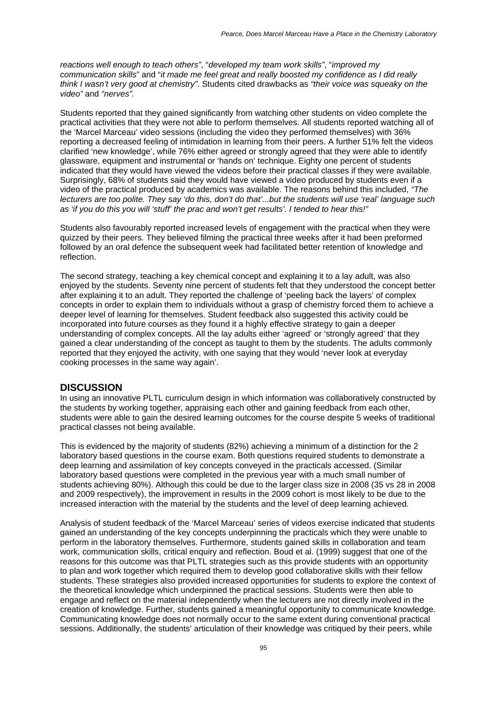*reactions well enough to teach others"*, "*developed my team work skills"*, "*improved my communication skills*" and "*it made me feel great and really boosted my confidence as I did really think I wasn't very good at chemistry"*. Students cited drawbacks as *"their voice was squeaky on the video"* and *"nerves".*

Students reported that they gained significantly from watching other students on video complete the practical activities that they were not able to perform themselves. All students reported watching all of the 'Marcel Marceau' video sessions (including the video they performed themselves) with 36% reporting a decreased feeling of intimidation in learning from their peers. A further 51% felt the videos clarified 'new knowledge', while 76% either agreed or strongly agreed that they were able to identify glassware, equipment and instrumental or 'hands on' technique. Eighty one percent of students indicated that they would have viewed the videos before their practical classes if they were available. Surprisingly, 68% of students said they would have viewed a video produced by students even if a video of the practical produced by academics was available. The reasons behind this included, *"The lecturers are too polite. They say 'do this, don't do that'...but the students will use 'real' language such as 'if you do this you will 'stuff' the prac and won't get results'. I tended to hear this!"* 

Students also favourably reported increased levels of engagement with the practical when they were quizzed by their peers. They believed filming the practical three weeks after it had been preformed followed by an oral defence the subsequent week had facilitated better retention of knowledge and reflection.

The second strategy, teaching a key chemical concept and explaining it to a lay adult, was also enjoyed by the students. Seventy nine percent of students felt that they understood the concept better after explaining it to an adult. They reported the challenge of 'peeling back the layers' of complex concepts in order to explain them to individuals without a grasp of chemistry forced them to achieve a deeper level of learning for themselves. Student feedback also suggested this activity could be incorporated into future courses as they found it a highly effective strategy to gain a deeper understanding of complex concepts. All the lay adults either 'agreed' or 'strongly agreed' that they gained a clear understanding of the concept as taught to them by the students. The adults commonly reported that they enjoyed the activity, with one saying that they would 'never look at everyday cooking processes in the same way again'.

# **DISCUSSION**

In using an innovative PLTL curriculum design in which information was collaboratively constructed by the students by working together, appraising each other and gaining feedback from each other, students were able to gain the desired learning outcomes for the course despite 5 weeks of traditional practical classes not being available.

This is evidenced by the majority of students (82%) achieving a minimum of a distinction for the 2 laboratory based questions in the course exam. Both questions required students to demonstrate a deep learning and assimilation of key concepts conveyed in the practicals accessed. (Similar laboratory based questions were completed in the previous year with a much small number of students achieving 80%). Although this could be due to the larger class size in 2008 (35 vs 28 in 2008 and 2009 respectively), the improvement in results in the 2009 cohort is most likely to be due to the increased interaction with the material by the students and the level of deep learning achieved.

Analysis of student feedback of the 'Marcel Marceau' series of videos exercise indicated that students gained an understanding of the key concepts underpinning the practicals which they were unable to perform in the laboratory themselves. Furthermore, students gained skills in collaboration and team work, communication skills, critical enquiry and reflection. Boud et al. (1999) suggest that one of the reasons for this outcome was that PLTL strategies such as this provide students with an opportunity to plan and work together which required them to develop good collaborative skills with their fellow students. These strategies also provided increased opportunities for students to explore the context of the theoretical knowledge which underpinned the practical sessions. Students were then able to engage and reflect on the material independently when the lecturers are not directly involved in the creation of knowledge. Further, students gained a meaningful opportunity to communicate knowledge. Communicating knowledge does not normally occur to the same extent during conventional practical sessions. Additionally, the students' articulation of their knowledge was critiqued by their peers, while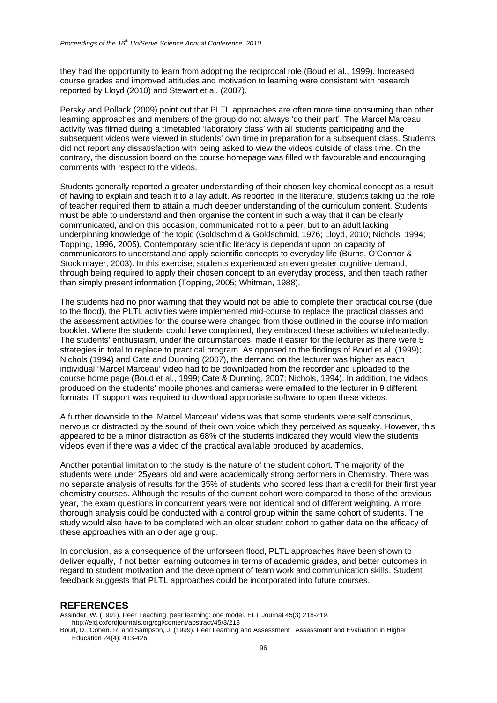they had the opportunity to learn from adopting the reciprocal role (Boud et al., 1999). Increased course grades and improved attitudes and motivation to learning were consistent with research reported by Lloyd (2010) and Stewart et al. (2007).

Persky and Pollack (2009) point out that PLTL approaches are often more time consuming than other learning approaches and members of the group do not always 'do their part'. The Marcel Marceau activity was filmed during a timetabled 'laboratory class' with all students participating and the subsequent videos were viewed in students' own time in preparation for a subsequent class. Students did not report any dissatisfaction with being asked to view the videos outside of class time. On the contrary, the discussion board on the course homepage was filled with favourable and encouraging comments with respect to the videos.

Students generally reported a greater understanding of their chosen key chemical concept as a result of having to explain and teach it to a lay adult. As reported in the literature, students taking up the role of teacher required them to attain a much deeper understanding of the curriculum content. Students must be able to understand and then organise the content in such a way that it can be clearly communicated, and on this occasion, communicated not to a peer, but to an adult lacking underpinning knowledge of the topic (Goldschmid & Goldschmid, 1976; Lloyd, 2010; Nichols, 1994; Topping, 1996, 2005). Contemporary scientific literacy is dependant upon on capacity of communicators to understand and apply scientific concepts to everyday life (Burns, O'Connor & Stocklmayer, 2003). In this exercise, students experienced an even greater cognitive demand, through being required to apply their chosen concept to an everyday process, and then teach rather than simply present information (Topping, 2005; Whitman, 1988).

The students had no prior warning that they would not be able to complete their practical course (due to the flood), the PLTL activities were implemented mid-course to replace the practical classes and the assessment activities for the course were changed from those outlined in the course information booklet. Where the students could have complained, they embraced these activities wholeheartedly. The students' enthusiasm, under the circumstances, made it easier for the lecturer as there were 5 strategies in total to replace to practical program. As opposed to the findings of Boud et al. (1999); Nichols (1994) and Cate and Dunning (2007), the demand on the lecturer was higher as each individual 'Marcel Marceau' video had to be downloaded from the recorder and uploaded to the course home page (Boud et al., 1999; Cate & Dunning, 2007; Nichols, 1994). In addition, the videos produced on the students' mobile phones and cameras were emailed to the lecturer in 9 different formats; IT support was required to download appropriate software to open these videos.

A further downside to the 'Marcel Marceau' videos was that some students were self conscious, nervous or distracted by the sound of their own voice which they perceived as squeaky. However, this appeared to be a minor distraction as 68% of the students indicated they would view the students videos even if there was a video of the practical available produced by academics.

Another potential limitation to the study is the nature of the student cohort. The majority of the students were under 25years old and were academically strong performers in Chemistry. There was no separate analysis of results for the 35% of students who scored less than a credit for their first year chemistry courses. Although the results of the current cohort were compared to those of the previous year, the exam questions in concurrent years were not identical and of different weighting. A more thorough analysis could be conducted with a control group within the same cohort of students. The study would also have to be completed with an older student cohort to gather data on the efficacy of these approaches with an older age group.

In conclusion, as a consequence of the unforseen flood, PLTL approaches have been shown to deliver equally, if not better learning outcomes in terms of academic grades, and better outcomes in regard to student motivation and the development of team work and communication skills. Student feedback suggests that PLTL approaches could be incorporated into future courses.

#### **REFERENCES**

Assinder, W. (1991). Peer Teaching, peer learning: one model. ELT Journal 45(3) 218-219. http://eltj.oxfordjournals.org/cgi/content/abstract/45/3/218

Boud, D., Cohen. R. and Sampson, J. (1999). Peer Learning and Assessment Assessment and Evaluation in Higher Education 24(4): 413-426.